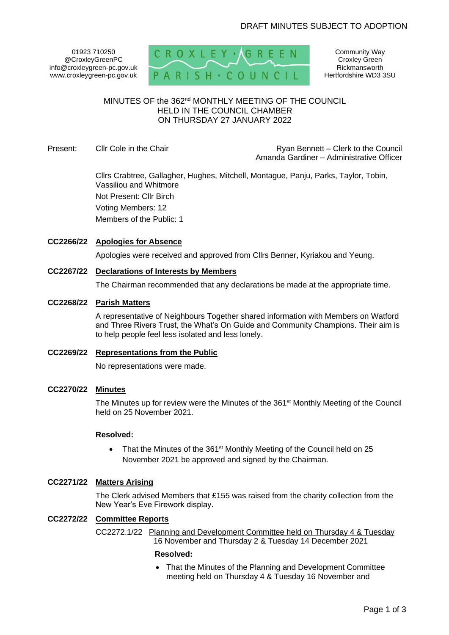01923 710250 @CroxleyGreenPC info@croxleygreen-pc.gov.uk www.croxleygreen-pc.gov.uk



Community Way Croxley Green Rickmansworth Hertfordshire WD3 3SU

# MINUTES OF the 362<sup>nd</sup> MONTHLY MEETING OF THE COUNCIL HELD IN THE COUNCIL CHAMBER ON THURSDAY 27 JANUARY 2022

Present: Cllr Cole in the Chair **Reserve and Clerk Connect – Clerk to the Council** Amanda Gardiner – Administrative Officer

> Cllrs Crabtree, Gallagher, Hughes, Mitchell, Montague, Panju, Parks, Taylor, Tobin, Vassiliou and Whitmore Not Present: Cllr Birch Voting Members: 12 Members of the Public: 1

# **CC2266/22 Apologies for Absence**

Apologies were received and approved from Cllrs Benner, Kyriakou and Yeung.

# **CC2267/22 Declarations of Interests by Members**

The Chairman recommended that any declarations be made at the appropriate time.

# **CC2268/22 Parish Matters**

A representative of Neighbours Together shared information with Members on Watford and Three Rivers Trust, the What's On Guide and Community Champions. Their aim is to help people feel less isolated and less lonely.

# **CC2269/22 Representations from the Public**

No representations were made.

# **CC2270/22 Minutes**

The Minutes up for review were the Minutes of the 361<sup>st</sup> Monthly Meeting of the Council held on 25 November 2021.

# **Resolved:**

• That the Minutes of the 361<sup>st</sup> Monthly Meeting of the Council held on 25 November 2021 be approved and signed by the Chairman.

# **CC2271/22 Matters Arising**

The Clerk advised Members that £155 was raised from the charity collection from the New Year's Eve Firework display.

# **CC2272/22 Committee Reports**

CC2272.1/22 Planning and Development Committee held on Thursday 4 & Tuesday 16 November and Thursday 2 & Tuesday 14 December 2021

#### **Resolved:**

• That the Minutes of the Planning and Development Committee meeting held on Thursday 4 & Tuesday 16 November and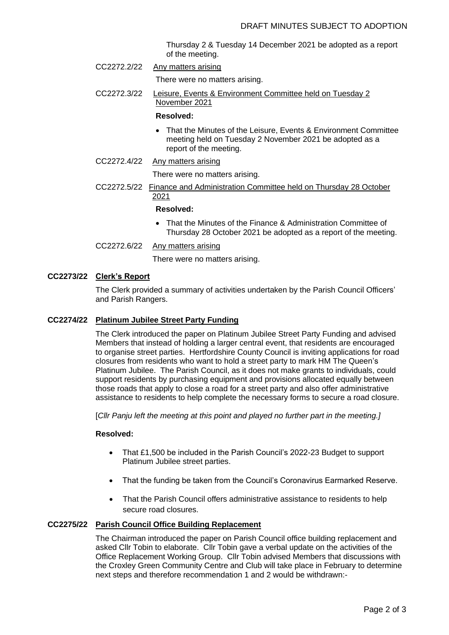Thursday 2 & Tuesday 14 December 2021 be adopted as a report of the meeting.

- CC2272.2/22 Any matters arising
	- There were no matters arising.
- CC2272.3/22 Leisure, Events & Environment Committee held on Tuesday 2 November 2021

#### **Resolved:**

- That the Minutes of the Leisure, Events & Environment Committee meeting held on Tuesday 2 November 2021 be adopted as a report of the meeting.
- CC2272.4/22 Any matters arising

There were no matters arising.

CC2272.5/22 Finance and Administration Committee held on Thursday 28 October 2021

#### **Resolved:**

- That the Minutes of the Finance & Administration Committee of Thursday 28 October 2021 be adopted as a report of the meeting.
- CC2272.6/22 Any matters arising

There were no matters arising.

# **CC2273/22 Clerk's Report**

The Clerk provided a summary of activities undertaken by the Parish Council Officers' and Parish Rangers.

#### **CC2274/22 Platinum Jubilee Street Party Funding**

The Clerk introduced the paper on Platinum Jubilee Street Party Funding and advised Members that instead of holding a larger central event, that residents are encouraged to organise street parties. Hertfordshire County Council is inviting applications for road closures from residents who want to hold a street party to mark HM The Queen's Platinum Jubilee. The Parish Council, as it does not make grants to individuals, could support residents by purchasing equipment and provisions allocated equally between those roads that apply to close a road for a street party and also offer administrative assistance to residents to help complete the necessary forms to secure a road closure.

[*Cllr Panju left the meeting at this point and played no further part in the meeting.]*

# **Resolved:**

- That £1,500 be included in the Parish Council's 2022-23 Budget to support Platinum Jubilee street parties.
- That the funding be taken from the Council's Coronavirus Earmarked Reserve.
- That the Parish Council offers administrative assistance to residents to help secure road closures.

# **CC2275/22 Parish Council Office Building Replacement**

The Chairman introduced the paper on Parish Council office building replacement and asked Cllr Tobin to elaborate. Cllr Tobin gave a verbal update on the activities of the Office Replacement Working Group. Cllr Tobin advised Members that discussions with the Croxley Green Community Centre and Club will take place in February to determine next steps and therefore recommendation 1 and 2 would be withdrawn:-